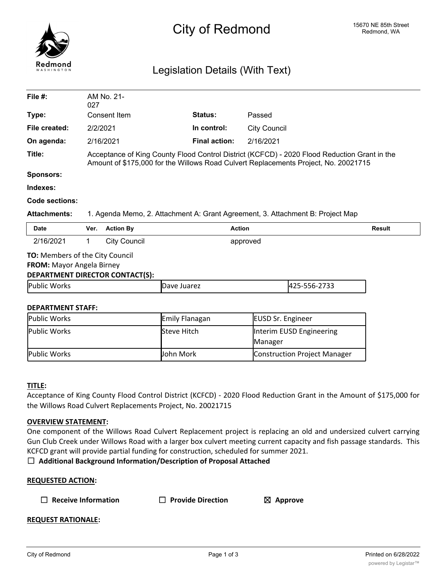

# Legislation Details (With Text)

| File $#$ :                                                                                             | AM No. 21-<br>027                                                                                                                                                                   |                                |                          |  |  |
|--------------------------------------------------------------------------------------------------------|-------------------------------------------------------------------------------------------------------------------------------------------------------------------------------------|--------------------------------|--------------------------|--|--|
| Type:                                                                                                  | Consent Item                                                                                                                                                                        | Status:                        | Passed                   |  |  |
| File created:                                                                                          | 2/2/2021                                                                                                                                                                            | In control:                    | <b>City Council</b>      |  |  |
| On agenda:                                                                                             | 2/16/2021                                                                                                                                                                           | <b>Final action:</b>           | 2/16/2021                |  |  |
| Title:                                                                                                 | Acceptance of King County Flood Control District (KCFCD) - 2020 Flood Reduction Grant in the<br>Amount of \$175,000 for the Willows Road Culvert Replacements Project, No. 20021715 |                                |                          |  |  |
| <b>Sponsors:</b>                                                                                       |                                                                                                                                                                                     |                                |                          |  |  |
| Indexes:                                                                                               |                                                                                                                                                                                     |                                |                          |  |  |
| Code sections:                                                                                         |                                                                                                                                                                                     |                                |                          |  |  |
| <b>Attachments:</b>                                                                                    | 1. Agenda Memo, 2. Attachment A: Grant Agreement, 3. Attachment B: Project Map                                                                                                      |                                |                          |  |  |
| <b>Date</b>                                                                                            | <b>Action By</b><br>Ver.                                                                                                                                                            | <b>Action</b><br><b>Result</b> |                          |  |  |
| 2/16/2021                                                                                              | <b>City Council</b><br>1                                                                                                                                                            | approved                       |                          |  |  |
| <b>TO:</b> Members of the City Council<br>FROM: Mayor Angela Birney<br>DEPARTMENT DIRECTOR CONTACT(S): |                                                                                                                                                                                     |                                |                          |  |  |
| Public Works                                                                                           |                                                                                                                                                                                     | Dave Juarez                    | 425-556-2733             |  |  |
| <b>DEPARTMENT STAFF:</b>                                                                               |                                                                                                                                                                                     |                                |                          |  |  |
| Public Works                                                                                           |                                                                                                                                                                                     | Emily Flanagan                 | <b>EUSD Sr. Engineer</b> |  |  |
| Public Works                                                                                           |                                                                                                                                                                                     | Steve Hitch                    | Interim EUSD Engineering |  |  |

# **TITLE:**

Acceptance of King County Flood Control District (KCFCD) - 2020 Flood Reduction Grant in the Amount of \$175,000 for the Willows Road Culvert Replacements Project, No. 20021715

Public Works **Construction Construction Construction** Project Manager

# **OVERVIEW STATEMENT:**

One component of the Willows Road Culvert Replacement project is replacing an old and undersized culvert carrying Gun Club Creek under Willows Road with a larger box culvert meeting current capacity and fish passage standards. This KCFCD grant will provide partial funding for construction, scheduled for summer 2021.

☐ **Additional Background Information/Description of Proposal Attached**

|  | $\Box$ Receive Information |
|--|----------------------------|
|--|----------------------------|

☐ **Receive Information** ☐ **Provide Direction** ☒ **Approve**

Manager

# **REQUEST RATIONALE:**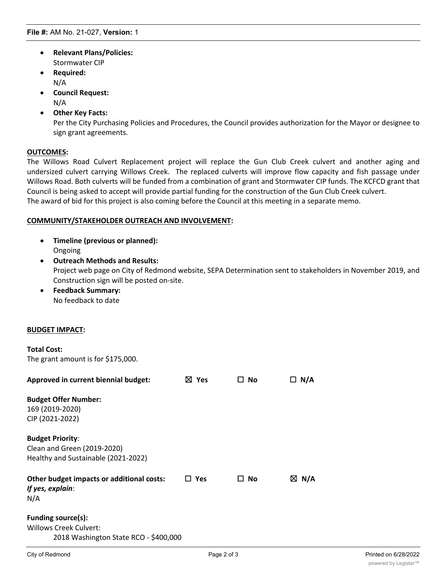- · **Relevant Plans/Policies:** Stormwater CIP
- · **Required:** N/A
- · **Council Request:** N/A
- · **Other Key Facts:**

Per the City Purchasing Policies and Procedures, the Council provides authorization for the Mayor or designee to sign grant agreements.

# **OUTCOMES:**

The Willows Road Culvert Replacement project will replace the Gun Club Creek culvert and another aging and undersized culvert carrying Willows Creek. The replaced culverts will improve flow capacity and fish passage under Willows Road. Both culverts will be funded from a combination of grant and Stormwater CIP funds. The KCFCD grant that Council is being asked to accept will provide partial funding for the construction of the Gun Club Creek culvert. The award of bid for this project is also coming before the Council at this meeting in a separate memo.

# **COMMUNITY/STAKEHOLDER OUTREACH AND INVOLVEMENT:**

- · **Timeline (previous or planned):** Ongoing
- · **Outreach Methods and Results:** Project web page on City of Redmond website, SEPA Determination sent to stakeholders in November 2019, and Construction sign will be posted on-site.
- · **Feedback Summary:** No feedback to date

# **BUDGET IMPACT:**

The grant amount is for \$175,000.

| Approved in current biennial budget:                                                          | ⊠ Yes      | No<br>LΙ    | □ N/A |                      |
|-----------------------------------------------------------------------------------------------|------------|-------------|-------|----------------------|
| <b>Budget Offer Number:</b><br>169 (2019-2020)<br>CIP (2021-2022)                             |            |             |       |                      |
| <b>Budget Priority:</b><br>Clean and Green (2019-2020)<br>Healthy and Sustainable (2021-2022) |            |             |       |                      |
| Other budget impacts or additional costs:<br>If yes, explain:<br>N/A                          | $\Box$ Yes | $\Box$ No   | ⊠ N/A |                      |
| Funding source(s):<br>Willows Creek Culvert:<br>2018 Washington State RCO - \$400,000         |            |             |       |                      |
| City of Redmond                                                                               |            | Page 2 of 3 |       | Printed on 6/28/2022 |